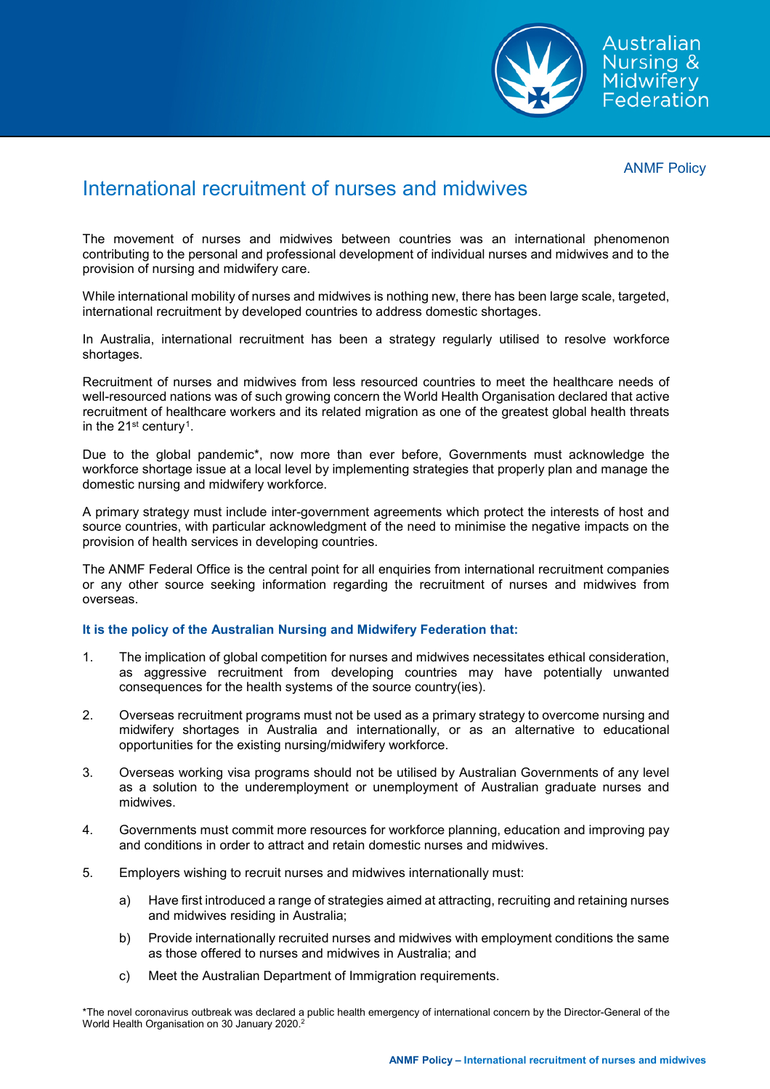

ANMF Policy

## International recruitment of nurses and midwives

The movement of nurses and midwives between countries was an international phenomenon contributing to the personal and professional development of individual nurses and midwives and to the provision of nursing and midwifery care.

While international mobility of nurses and midwives is nothing new, there has been large scale, targeted, international recruitment by developed countries to address domestic shortages.

In Australia, international recruitment has been a strategy regularly utilised to resolve workforce shortages.

Recruitment of nurses and midwives from less resourced countries to meet the healthcare needs of well-resourced nations was of such growing concern the World Health Organisation declared that active recruitment of healthcare workers and its related migration as one of the greatest global health threats in the  $21^{st}$  $21^{st}$  $21^{st}$  century<sup>1</sup>.

Due to the global pandemic\*, now more than ever before, Governments must acknowledge the workforce shortage issue at a local level by implementing strategies that properly plan and manage the domestic nursing and midwifery workforce.

A primary strategy must include inter-government agreements which protect the interests of host and source countries, with particular acknowledgment of the need to minimise the negative impacts on the provision of health services in developing countries.

The ANMF Federal Office is the central point for all enquiries from international recruitment companies or any other source seeking information regarding the recruitment of nurses and midwives from overseas.

## **It is the policy of the Australian Nursing and Midwifery Federation that:**

- 1. The implication of global competition for nurses and midwives necessitates ethical consideration, as aggressive recruitment from developing countries may have potentially unwanted consequences for the health systems of the source country(ies).
- 2. Overseas recruitment programs must not be used as a primary strategy to overcome nursing and midwifery shortages in Australia and internationally, or as an alternative to educational opportunities for the existing nursing/midwifery workforce.
- 3. Overseas working visa programs should not be utilised by Australian Governments of any level as a solution to the underemployment or unemployment of Australian graduate nurses and midwives.
- 4. Governments must commit more resources for workforce planning, education and improving pay and conditions in order to attract and retain domestic nurses and midwives.
- 5. Employers wishing to recruit nurses and midwives internationally must:
	- a) Have first introduced a range of strategies aimed at attracting, recruiting and retaining nurses and midwives residing in Australia;
	- b) Provide internationally recruited nurses and midwives with employment conditions the same as those offered to nurses and midwives in Australia; and
	- c) Meet the Australian Department of Immigration requirements.